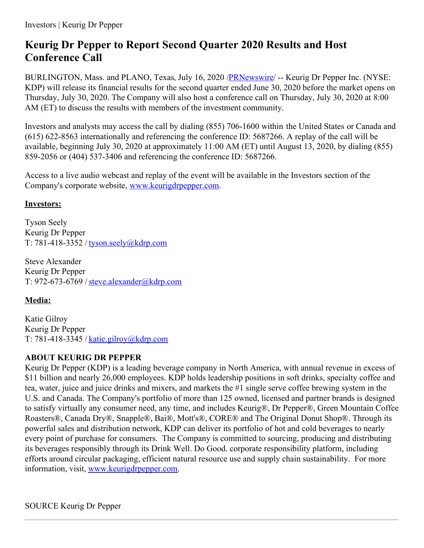## **Keurig Dr Pepper to Report Second Quarter 2020 Results and Host Conference Call**

BURLINGTON, Mass. and PLANO, Texas, July 16, 2020 [/PRNewswire](http://www.prnewswire.com/)/ -- Keurig Dr Pepper Inc. (NYSE: KDP) will release its financial results for the second quarter ended June 30, 2020 before the market opens on Thursday, July 30, 2020. The Company will also host a conference call on Thursday, July 30, 2020 at 8:00 AM (ET) to discuss the results with members of the investment community.

Investors and analysts may access the call by dialing (855) 706-1600 within the United States or Canada and (615) 622-8563 internationally and referencing the conference ID: 5687266. A replay of the call will be available, beginning July 30, 2020 at approximately 11:00 AM (ET) until August 13, 2020, by dialing (855) 859-2056 or (404) 537-3406 and referencing the conference ID: 5687266.

Access to a live audio webcast and replay of the event will be available in the Investors section of the Company's corporate website, [www.keurigdrpepper.com](https://c212.net/c/link/?t=0&l=en&o=2860396-1&h=918149988&u=http%3A%2F%2Fwww.keurigdrpepper.com%2F&a=www.keurigdrpepper.com).

## **Investors:**

Tyson Seely Keurig Dr Pepper T: 781-418-3352 / [tyson.seely@kdrp.com](mailto:tyson.seely@kdrp.com)

Steve Alexander Keurig Dr Pepper T: 972-673-6769 /[steve.alexander@kdrp.com](mailto:steve.alexander@kdrp.com)

## **Media:**

Katie Gilroy Keurig Dr Pepper T: 781-418-3345 / [katie.gilroy@kdrp.com](mailto:katie.gilroy@kdrp.com)

## **ABOUT KEURIG DR PEPPER**

Keurig Dr Pepper (KDP) is a leading beverage company in North America, with annual revenue in excess of \$11 billion and nearly 26,000 employees. KDP holds leadership positions in soft drinks, specialty coffee and tea, water, juice and juice drinks and mixers, and markets the #1 single serve coffee brewing system in the U.S. and Canada. The Company's portfolio of more than 125 owned, licensed and partner brands is designed to satisfy virtually any consumer need, any time, and includes Keurig®, Dr Pepper®, Green Mountain Coffee Roasters®, Canada Dry®, Snapple®, Bai®, Mott's®, CORE® and The Original Donut Shop®. Through its powerful sales and distribution network, KDP can deliver its portfolio of hot and cold beverages to nearly every point of purchase for consumers. The Company is committed to sourcing, producing and distributing its beverages responsibly through its Drink Well. Do Good. corporate responsibility platform, including efforts around circular packaging, efficient natural resource use and supply chain sustainability. For more information, visit, [www.keurigdrpepper.com](https://c212.net/c/link/?t=0&l=en&o=2860396-1&h=918149988&u=http%3A%2F%2Fwww.keurigdrpepper.com%2F&a=www.keurigdrpepper.com).